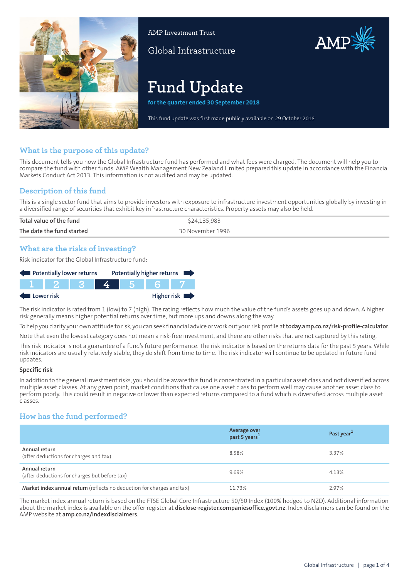

AMP Investment Trust

Global Infrastructure

# **Fund Update**

**for the quarter ended 30 September 2018**

This fund update was first made publicly available on 29 October 2018

AMP

## **What is the purpose of this update?**

This document tells you how the Global Infrastructure fund has performed and what fees were charged. The document will help you to compare the fund with other funds. AMP Wealth Management New Zealand Limited prepared this update in accordance with the Financial Markets Conduct Act 2013. This information is not audited and may be updated.

## **Description of this fund**

This is a single sector fund that aims to provide investors with exposure to infrastructure investment opportunities globally by investing in a diversified range of securities that exhibit key infrastructure characteristics. Property assets may also be held.

| Total value of the fund   | \$24,135,983     |  |
|---------------------------|------------------|--|
| The date the fund started | 30 November 1996 |  |
|                           |                  |  |

## **What are the risks of investing?**

Risk indicator for the Global Infrastructure fund:

| Potentially lower returns |  |  |  | Potentially higher returns |
|---------------------------|--|--|--|----------------------------|
|                           |  |  |  |                            |
| Lower risk                |  |  |  | Higher risk                |

The risk indicator is rated from 1 (low) to 7 (high). The rating reflects how much the value of the fund's assets goes up and down. A higher risk generally means higher potential returns over time, but more ups and downs along the way.

To help you clarify your own attitude to risk, you can seek financial advice orwork out yourrisk profile at**[today.amp.co.nz/risk-profile-calculator](http://today.amp.co.nz/risk-profile-calculator)**.

Note that even the lowest category does not mean a risk-free investment, and there are other risks that are not captured by this rating.

This risk indicator is not a guarantee of a fund's future performance. The risk indicator is based on the returns data for the past 5 years. While risk indicators are usually relatively stable, they do shift from time to time. The risk indicator will continue to be updated in future fund updates.

#### **Specific risk**

In addition to the general investmentrisks, you should be aware this fund is concentrated in a particular asset class and not diversified across multiple asset classes. At any given point, market conditions that cause one asset class to perform well may cause another asset class to perform poorly. This could result in negative or lower than expected returns compared to a fund which is diversified across multiple asset classes.

## **How has the fund performed?**

|                                                                        | Average over<br>past 5 years <sup>1</sup> | Past year <sup>1</sup> |
|------------------------------------------------------------------------|-------------------------------------------|------------------------|
| Annual return<br>(after deductions for charges and tax)                | 8.58%                                     | 3.37%                  |
| Annual return<br>(after deductions for charges but before tax)         | 9.69%                                     | 4.13%                  |
| Market index annual return (reflects no deduction for charges and tax) | 11.73%                                    | 2.97%                  |

The market index annual return is based on the FTSE Global Core Infrastructure 50/50 Index (100% hedged to NZD). Additional information about the market index is available on the offer register at **[disclose-register.companiesoffice.govt.nz](https://disclose-register.companiesoffice.govt.nz/)**. Index disclaimers can be found on the AMP website at **[amp.co.nz/indexdisclaimers](http://amp.co.nz/indexdisclaimers)**.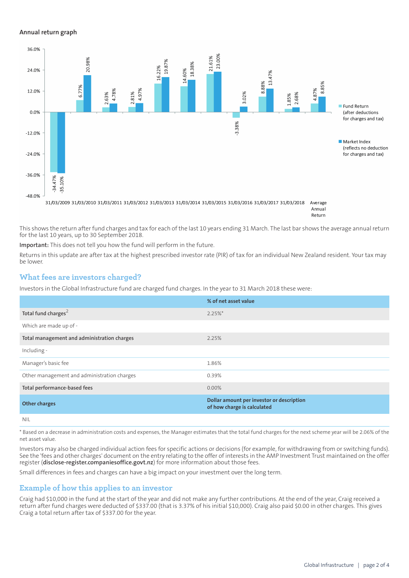#### **Annual return graph**



Return

This shows the return after fund charges and tax for each of the last 10 years ending 31 March. The last bar shows the average annual return for the last 10 years, up to 30 September 2018.

**Important:** This does not tell you how the fund will perform in the future.

Returns in this update are after tax at the highest prescribed investor rate (PIR) of tax for an individual New Zealand resident. Your tax may be lower.

## **What fees are investors charged?**

Investors in the Global Infrastructure fund are charged fund charges. In the year to 31 March 2018 these were:

|                                             | % of net asset value                                                     |
|---------------------------------------------|--------------------------------------------------------------------------|
| Total fund charges <sup>2</sup>             | $2.25%$ *                                                                |
| Which are made up of -                      |                                                                          |
| Total management and administration charges | 2.25%                                                                    |
| Including -                                 |                                                                          |
| Manager's basic fee                         | 1.86%                                                                    |
| Other management and administration charges | 0.39%                                                                    |
| Total performance-based fees                | $0.00\%$                                                                 |
| <b>Other charges</b>                        | Dollar amount per investor or description<br>of how charge is calculated |
| <b>NIL</b>                                  |                                                                          |

\* Based on a decrease in administration costs and expenses, the Manager estimates that the total fund charges for the next scheme year will be 2.06% of the net asset value.

Investors may also be charged individual action fees for specific actions or decisions (for example, for withdrawing from or switching funds). See the 'fees and other charges' document on the entry relating to the offer of interests in the AMP Investment Trust maintained on the offer register (**[disclose-register.companiesoffice.govt.nz](https://disclose-register.companiesoffice.govt.nz/)**) for more information about those fees.

Small differences in fees and charges can have a big impact on your investment over the long term.

## **Example of how this applies to an investor**

Craig had \$10,000 in the fund at the start of the year and did not make any further contributions. At the end of the year, Craig received a return after fund charges were deducted of \$337.00 (that is 3.37% of his initial \$10,000). Craig also paid \$0.00 in other charges. This gives Craig a total return after tax of \$337.00 for the year.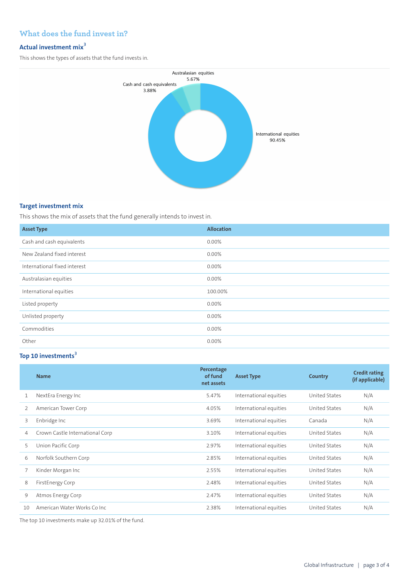## **What does the fund invest in?**

## **Actual investment mix<sup>3</sup>**

This shows the types of assets that the fund invests in.



## **Target investment mix**

This shows the mix of assets that the fund generally intends to invest in.

| <b>Asset Type</b>            | <b>Allocation</b> |
|------------------------------|-------------------|
| Cash and cash equivalents    | $0.00\%$          |
| New Zealand fixed interest   | $0.00\%$          |
| International fixed interest | 0.00%             |
| Australasian equities        | 0.00%             |
| International equities       | 100.00%           |
| Listed property              | 0.00%             |
| Unlisted property            | $0.00\%$          |
| Commodities                  | 0.00%             |
| Other                        | 0.00%             |

## **Top 10 investments<sup>3</sup>**

|    | <b>Name</b>                     | Percentage<br>of fund<br>net assets | <b>Asset Type</b>      | Country       | <b>Credit rating</b><br>(if applicable) |
|----|---------------------------------|-------------------------------------|------------------------|---------------|-----------------------------------------|
| 1  | NextEra Energy Inc              | 5.47%                               | International equities | United States | N/A                                     |
| 2  | American Tower Corp             | 4.05%                               | International equities | United States | N/A                                     |
| 3  | Enbridge Inc                    | 3.69%                               | International equities | Canada        | N/A                                     |
| 4  | Crown Castle International Corp | 3.10%                               | International equities | United States | N/A                                     |
| 5  | Union Pacific Corp              | 2.97%                               | International equities | United States | N/A                                     |
| 6  | Norfolk Southern Corp           | 2.85%                               | International equities | United States | N/A                                     |
|    | Kinder Morgan Inc               | 2.55%                               | International equities | United States | N/A                                     |
| 8  | FirstEnergy Corp                | 2.48%                               | International equities | United States | N/A                                     |
| 9  | Atmos Energy Corp               | 2.47%                               | International equities | United States | N/A                                     |
| 10 | American Water Works Co Inc.    | 2.38%                               | International equities | United States | N/A                                     |

The top 10 investments make up 32.01% of the fund.